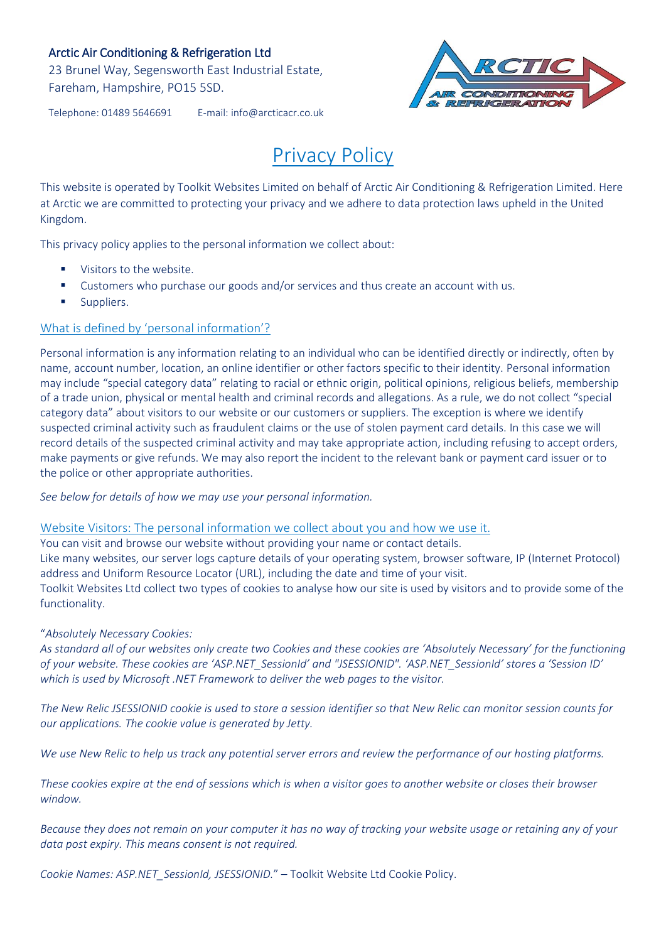## Arctic Air Conditioning & Refrigeration Ltd

23 Brunel Way, Segensworth East Industrial Estate, Fareham, Hampshire, PO15 5SD.

Telephone: 01489 5646691 E-mail: info@arcticacr.co.uk



# Privacy Policy

This website is operated by Toolkit Websites Limited on behalf of Arctic Air Conditioning & Refrigeration Limited. Here at Arctic we are committed to protecting your privacy and we adhere to data protection laws upheld in the United Kingdom.

This privacy policy applies to the personal information we collect about:

- Visitors to the website.
- **E** Customers who purchase our goods and/or services and thus create an account with us.
- Suppliers.

## What is defined by 'personal information'?

Personal information is any information relating to an individual who can be identified directly or indirectly, often by name, account number, location, an online identifier or other factors specific to their identity. Personal information may include "special category data" relating to racial or ethnic origin, political opinions, religious beliefs, membership of a trade union, physical or mental health and criminal records and allegations. As a rule, we do not collect "special category data" about visitors to our website or our customers or suppliers. The exception is where we identify suspected criminal activity such as fraudulent claims or the use of stolen payment card details. In this case we will record details of the suspected criminal activity and may take appropriate action, including refusing to accept orders, make payments or give refunds. We may also report the incident to the relevant bank or payment card issuer or to the police or other appropriate authorities.

*See below for details of how we may use your personal information.*

Website Visitors: The personal information we collect about you and how we use it.

You can visit and browse our website without providing your name or contact details. Like many websites, our server logs capture details of your operating system, browser software, IP (Internet Protocol) address and Uniform Resource Locator (URL), including the date and time of your visit. Toolkit Websites Ltd collect two types of cookies to analyse how our site is used by visitors and to provide some of the functionality.

#### "*Absolutely Necessary Cookies:*

As standard all of our websites only create two Cookies and these cookies are 'Absolutely Necessary' for the functioning *of your website. These cookies are 'ASP.NET\_SessionId' and "JSESSIONID". 'ASP.NET\_SessionId' stores a 'Session ID' which is used by Microsoft .NET Framework to deliver the web pages to the visitor.*

The New Relic JSESSIONID cookie is used to store a session identifier so that New Relic can monitor session counts for *our applications. The cookie value is generated by Jetty.*

We use New Relic to help us track any potential server errors and review the performance of our hostina platforms.

These cookies expire at the end of sessions which is when a visitor goes to another website or closes their browser *window.*

Because they does not remain on your computer it has no way of tracking your website usage or retaining any of your *data post expiry. This means consent is not required.*

*Cookie Names: ASP.NET\_SessionId, JSESSIONID.*" – Toolkit Website Ltd Cookie Policy.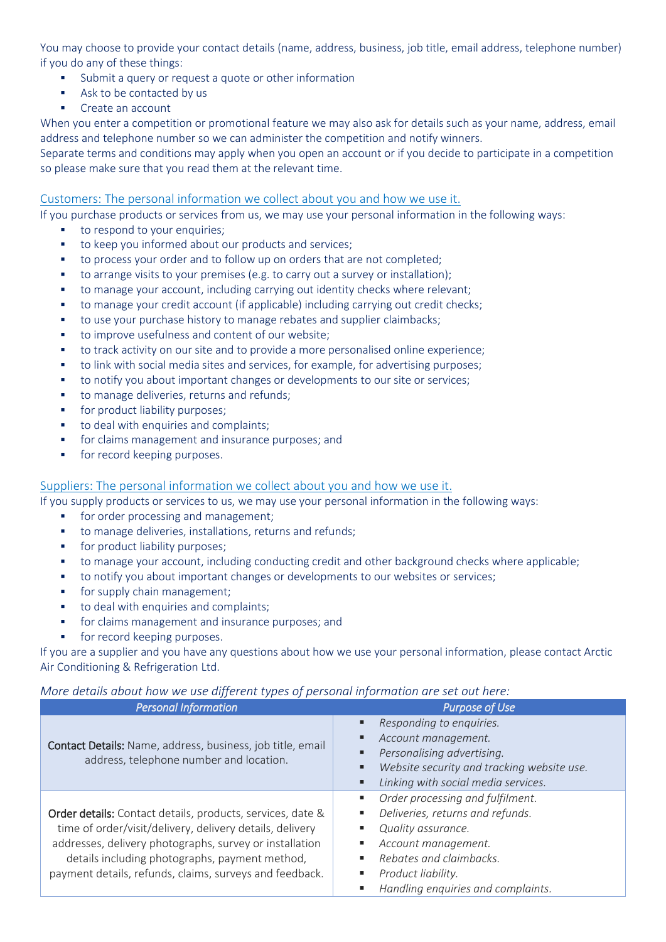You may choose to provide your contact details (name, address, business, job title, email address, telephone number) if you do any of these things:

- Submit a query or request a quote or other information
- Ask to be contacted by us
- Create an account

When you enter a competition or promotional feature we may also ask for details such as your name, address, email address and telephone number so we can administer the competition and notify winners.

Separate terms and conditions may apply when you open an account or if you decide to participate in a competition so please make sure that you read them at the relevant time.

## Customers: The personal information we collect about you and how we use it.

If you purchase products or services from us, we may use your personal information in the following ways:

- to respond to your enquiries;
- to keep you informed about our products and services:
- to process your order and to follow up on orders that are not completed;
- to arrange visits to your premises (e.g. to carry out a survey or installation);
- to manage your account, including carrying out identity checks where relevant;
- to manage your credit account (if applicable) including carrying out credit checks;
- to use your purchase history to manage rebates and supplier claimbacks;
- to improve usefulness and content of our website;
- to track activity on our site and to provide a more personalised online experience;
- to link with social media sites and services, for example, for advertising purposes;
- to notify you about important changes or developments to our site or services;
- to manage deliveries, returns and refunds;
- **•** for product liability purposes;
- to deal with enquiries and complaints;
- for claims management and insurance purposes; and
- for record keeping purposes.

#### Suppliers: The personal information we collect about you and how we use it.

If you supply products or services to us, we may use your personal information in the following ways:

- **•** for order processing and management;
- to manage deliveries, installations, returns and refunds;
- for product liability purposes:
- to manage your account, including conducting credit and other background checks where applicable;
- to notify you about important changes or developments to our websites or services;
- **•** for supply chain management;
- to deal with enquiries and complaints;
- for claims management and insurance purposes; and
- for record keeping purposes.

If you are a supplier and you have any questions about how we use your personal information, please contact Arctic Air Conditioning & Refrigeration Ltd.

#### *More details about how we use different types of personal information are set out here:*

| <b>Personal Information</b>                                                                                                                                                                                                                                                                    | <b>Purpose of Use</b>                                                                                                                                                                                    |
|------------------------------------------------------------------------------------------------------------------------------------------------------------------------------------------------------------------------------------------------------------------------------------------------|----------------------------------------------------------------------------------------------------------------------------------------------------------------------------------------------------------|
| Contact Details: Name, address, business, job title, email<br>address, telephone number and location.                                                                                                                                                                                          | Responding to enquiries.<br>Account management.<br>Personalising advertising.<br>Website security and tracking website use.<br>Linking with social media services.                                       |
| Order details: Contact details, products, services, date &<br>time of order/visit/delivery, delivery details, delivery<br>addresses, delivery photographs, survey or installation<br>details including photographs, payment method,<br>payment details, refunds, claims, surveys and feedback. | Order processing and fulfilment.<br>Deliveries, returns and refunds.<br>Quality assurance.<br>Account management.<br>Rebates and claimbacks.<br>Product liability.<br>Handling enguiries and complaints. |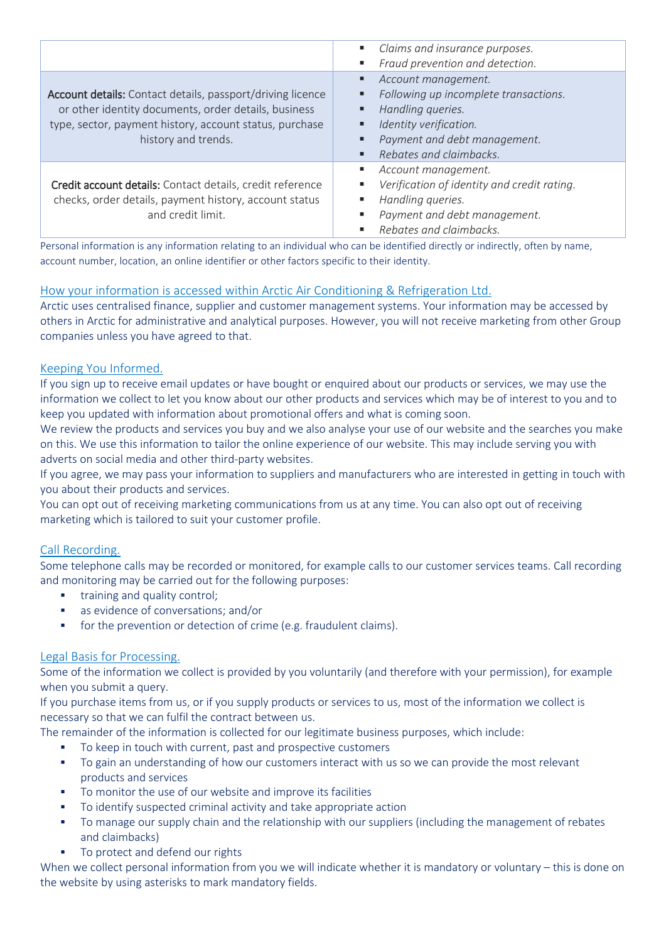|                                                                                                                                                                                                      | Claims and insurance purposes.                                                                                                                                                                            |
|------------------------------------------------------------------------------------------------------------------------------------------------------------------------------------------------------|-----------------------------------------------------------------------------------------------------------------------------------------------------------------------------------------------------------|
| Account details: Contact details, passport/driving licence<br>or other identity documents, order details, business<br>type, sector, payment history, account status, purchase<br>history and trends. | Fraud prevention and detection.<br>Account management.<br>Following up incomplete transactions.<br>Handling queries.<br>Identity verification.<br>Payment and debt management.<br>Rebates and claimbacks. |
| Credit account details: Contact details, credit reference<br>checks, order details, payment history, account status<br>and credit limit.                                                             | Account management.<br>Verification of identity and credit rating.<br>Handling queries.<br>Payment and debt management.<br>Rebates and claimbacks.                                                        |

Personal information is any information relating to an individual who can be identified directly or indirectly, often by name, account number, location, an online identifier or other factors specific to their identity.

## How your information is accessed within Arctic Air Conditioning & Refrigeration Ltd.

Arctic uses centralised finance, supplier and customer management systems. Your information may be accessed by others in Arctic for administrative and analytical purposes. However, you will not receive marketing from other Group companies unless you have agreed to that.

## Keeping You Informed.

If you sign up to receive email updates or have bought or enquired about our products or services, we may use the information we collect to let you know about our other products and services which may be of interest to you and to keep you updated with information about promotional offers and what is coming soon.

We review the products and services you buy and we also analyse your use of our website and the searches you make on this. We use this information to tailor the online experience of our website. This may include serving you with adverts on social media and other third-party websites.

If you agree, we may pass your information to suppliers and manufacturers who are interested in getting in touch with you about their products and services.

You can opt out of receiving marketing communications from us at any time. You can also opt out of receiving marketing which is tailored to suit your customer profile.

## Call Recording.

Some telephone calls may be recorded or monitored, for example calls to our customer services teams. Call recording and monitoring may be carried out for the following purposes:

- training and quality control;
- as evidence of conversations; and/or
- for the prevention or detection of crime (e.g. fraudulent claims).

#### Legal Basis for Processing.

Some of the information we collect is provided by you voluntarily (and therefore with your permission), for example when you submit a query.

If you purchase items from us, or if you supply products or services to us, most of the information we collect is necessary so that we can fulfil the contract between us.

The remainder of the information is collected for our legitimate business purposes, which include:

- To keep in touch with current, past and prospective customers
- To gain an understanding of how our customers interact with us so we can provide the most relevant products and services
- To monitor the use of our website and improve its facilities
- To identify suspected criminal activity and take appropriate action
- To manage our supply chain and the relationship with our suppliers (including the management of rebates and claimbacks)
- To protect and defend our rights

When we collect personal information from you we will indicate whether it is mandatory or voluntary – this is done on the website by using asterisks to mark mandatory fields.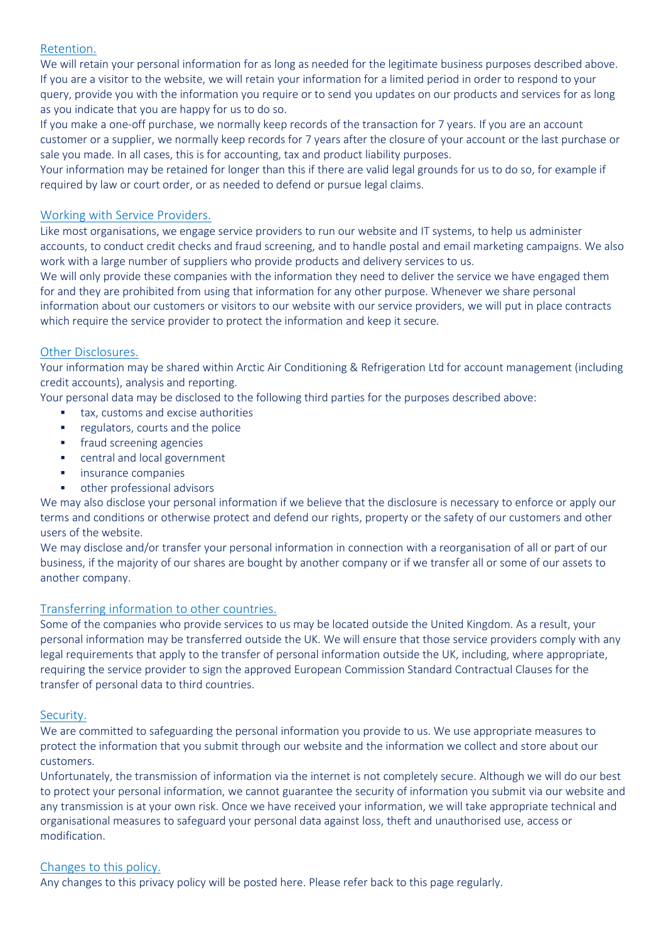#### Retention.

We will retain your personal information for as long as needed for the legitimate business purposes described above. If you are a visitor to the website, we will retain your information for a limited period in order to respond to your query, provide you with the information you require or to send you updates on our products and services for as long as you indicate that you are happy for us to do so.

If you make a one-off purchase, we normally keep records of the transaction for 7 years. If you are an account customer or a supplier, we normally keep records for 7 years after the closure of your account or the last purchase or sale you made. In all cases, this is for accounting, tax and product liability purposes.

Your information may be retained for longer than this if there are valid legal grounds for us to do so, for example if required by law or court order, or as needed to defend or pursue legal claims.

#### Working with Service Providers.

Like most organisations, we engage service providers to run our website and IT systems, to help us administer accounts, to conduct credit checks and fraud screening, and to handle postal and email marketing campaigns. We also work with a large number of suppliers who provide products and delivery services to us.

We will only provide these companies with the information they need to deliver the service we have engaged them for and they are prohibited from using that information for any other purpose. Whenever we share personal information about our customers or visitors to our website with our service providers, we will put in place contracts which require the service provider to protect the information and keep it secure.

#### Other Disclosures.

Your information may be shared within Arctic Air Conditioning & Refrigeration Ltd for account management (including credit accounts), analysis and reporting.

Your personal data may be disclosed to the following third parties for the purposes described above:

- tax, customs and excise authorities
- **•** regulators, courts and the police
- fraud screening agencies
- central and local government
- **•** insurance companies
- other professional advisors

We may also disclose your personal information if we believe that the disclosure is necessary to enforce or apply our terms and conditions or otherwise protect and defend our rights, property or the safety of our customers and other users of the website.

We may disclose and/or transfer your personal information in connection with a reorganisation of all or part of our business, if the majority of our shares are bought by another company or if we transfer all or some of our assets to another company.

## Transferring information to other countries.

Some of the companies who provide services to us may be located outside the United Kingdom. As a result, your personal information may be transferred outside the UK. We will ensure that those service providers comply with any legal requirements that apply to the transfer of personal information outside the UK, including, where appropriate, requiring the service provider to sign the approved European Commission Standard Contractual Clauses for the transfer of personal data to third countries.

#### Security.

We are committed to safeguarding the personal information you provide to us. We use appropriate measures to protect the information that you submit through our website and the information we collect and store about our customers.

Unfortunately, the transmission of information via the internet is not completely secure. Although we will do our best to protect your personal information, we cannot guarantee the security of information you submit via our website and any transmission is at your own risk. Once we have received your information, we will take appropriate technical and organisational measures to safeguard your personal data against loss, theft and unauthorised use, access or modification.

## Changes to this policy.

Any changes to this privacy policy will be posted here. Please refer back to this page regularly.